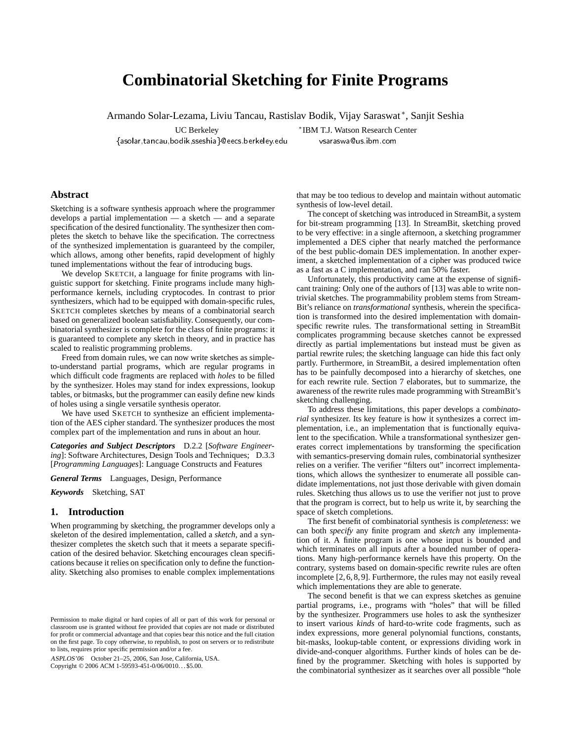# **Combinatorial Sketching for Finite Programs**

Armando Solar-Lezama, Liviu Tancau, Rastislav Bodik, Vijay Saraswat <sup>∗</sup>, Sanjit Seshia

- 
--- -

UC Berkeley <sup>∗</sup>IBM T.J. Watson Research Center ysaraswa@us.ibm.com -- $\cdots$   $\cdots$ - 

## **Abstract**

Sketching is a software synthesis approach where the programmer develops a partial implementation — a sketch — and a separate specification of the desired functionality. The synthesizer then completes the sketch to behave like the specification. The correctness of the synthesized implementation is guaranteed by the compiler, which allows, among other benefits, rapid development of highly tuned implementations without the fear of introducing bugs.

We develop SKETCH, a language for finite programs with linguistic support for sketching. Finite programs include many highperformance kernels, including cryptocodes. In contrast to prior synthesizers, which had to be equipped with domain-specific rules, SKETCH completes sketches by means of a combinatorial search based on generalized boolean satisfiability. Consequently, our combinatorial synthesizer is complete for the class of finite programs: it is guaranteed to complete any sketch in theory, and in practice has scaled to realistic programming problems.

Freed from domain rules, we can now write sketches as simpleto-understand partial programs, which are regular programs in which difficult code fragments are replaced with *holes* to be filled by the synthesizer. Holes may stand for index expressions, lookup tables, or bitmasks, but the programmer can easily define new kinds of holes using a single versatile synthesis operator.

We have used SKETCH to synthesize an efficient implementation of the AES cipher standard. The synthesizer produces the most complex part of the implementation and runs in about an hour.

*Categories and Subject Descriptors* D.2.2 [*Software Engineering*]: Software Architectures, Design Tools and Techniques; D.3.3 [*Programming Languages*]: Language Constructs and Features

*General Terms* Languages, Design, Performance

*Keywords* Sketching, SAT

#### **1. Introduction**

When programming by sketching, the programmer develops only a skeleton of the desired implementation, called a *sketch*, and a synthesizer completes the sketch such that it meets a separate specification of the desired behavior. Sketching encourages clean specifications because it relies on specification only to define the functionality. Sketching also promises to enable complex implementations

ASPLOS'06 October 21–25, 2006, San Jose, California, USA. Copyright © 2006 ACM 1-59593-451-0/06/0010. . . \$5.00.

that may be too tedious to develop and maintain without automatic synthesis of low-level detail.

The concept of sketching was introduced in StreamBit, a system for bit-stream programming [13]. In StreamBit, sketching proved to be very effective: in a single afternoon, a sketching programmer implemented a DES cipher that nearly matched the performance of the best public-domain DES implementation. In another experiment, a sketched implementation of a cipher was produced twice as a fast as a C implementation, and ran 50% faster.

Unfortunately, this productivity came at the expense of significant training: Only one of the authors of [13] was able to write nontrivial sketches. The programmability problem stems from Stream-Bit's reliance on *transformational* synthesis, wherein the specification is transformed into the desired implementation with domainspecific rewrite rules. The transformational setting in StreamBit complicates programming because sketches cannot be expressed directly as partial implementations but instead must be given as partial rewrite rules; the sketching language can hide this fact only partly. Furthermore, in StreamBit, a desired implementation often has to be painfully decomposed into a hierarchy of sketches, one for each rewrite rule. Section 7 elaborates, but to summarize, the awareness of the rewrite rules made programming with StreamBit's sketching challenging.

To address these limitations, this paper develops a *combinatorial* synthesizer. Its key feature is how it synthesizes a correct implementation, i.e., an implementation that is functionally equivalent to the specification. While a transformational synthesizer generates correct implementations by transforming the specification with semantics-preserving domain rules, combinatorial synthesizer relies on a verifier. The verifier "filters out" incorrect implementations, which allows the synthesizer to enumerate all possible candidate implementations, not just those derivable with given domain rules. Sketching thus allows us to use the verifier not just to prove that the program is correct, but to help us write it, by searching the space of sketch completions.

The first benefit of combinatorial synthesis is *completeness*: we can both *specify* any finite program and *sketch* any implementation of it. A finite program is one whose input is bounded and which terminates on all inputs after a bounded number of operations. Many high-performance kernels have this property. On the contrary, systems based on domain-specific rewrite rules are often incomplete [2, 6, 8, 9]. Furthermore, the rules may not easily reveal which implementations they are able to generate.

The second benefit is that we can express sketches as genuine partial programs, i.e., programs with "holes" that will be filled by the synthesizer. Programmers use holes to ask the synthesizer to insert various *kinds* of hard-to-write code fragments, such as index expressions, more general polynomial functions, constants, bit-masks, lookup-table content, or expressions dividing work in divide-and-conquer algorithms. Further kinds of holes can be defined by the programmer. Sketching with holes is supported by the combinatorial synthesizer as it searches over all possible "hole

Permission to make digital or hard copies of all or part of this work for personal or classroom use is granted without fee provided that copies are not made or distributed for profit or commercial advantage and that copies bear this notice and the full citation on the first page. To copy otherwise, to republish, to post on servers or to redistribute to lists, requires prior specific permission and/or a fee.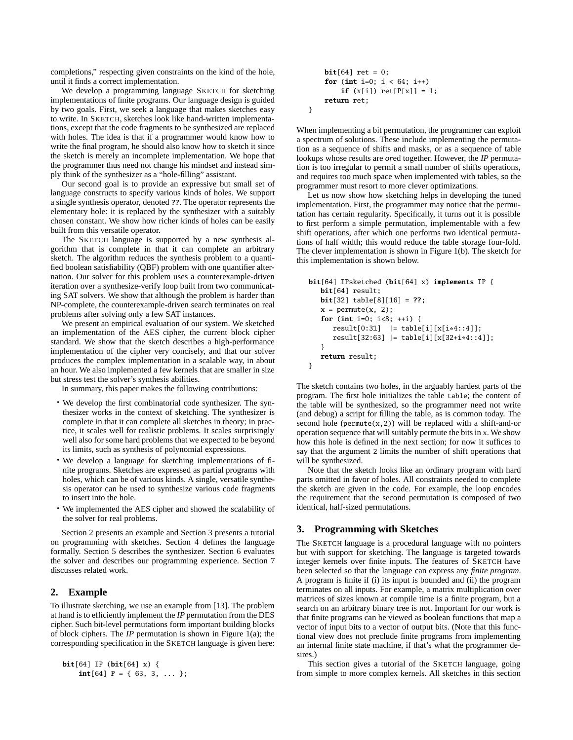completions," respecting given constraints on the kind of the hole, until it finds a correct implementation.

We develop a programming language SKETCH for sketching implementations of finite programs. Our language design is guided by two goals. First, we seek a language that makes sketches easy to write. In SKETCH, sketches look like hand-written implementations, except that the code fragments to be synthesized are replaced with holes. The idea is that if a programmer would know how to write the final program, he should also know how to sketch it since the sketch is merely an incomplete implementation. We hope that the programmer thus need not change his mindset and instead simply think of the synthesizer as a "hole-filling" assistant.

Our second goal is to provide an expressive but small set of language constructs to specify various kinds of holes. We support a single synthesis operator, denoted **??**. The operator represents the elementary hole: it is replaced by the synthesizer with a suitably chosen constant. We show how richer kinds of holes can be easily built from this versatile operator.

The SKETCH language is supported by a new synthesis algorithm that is complete in that it can complete an arbitrary sketch. The algorithm reduces the synthesis problem to a quantified boolean satisfiability (QBF) problem with one quantifier alternation. Our solver for this problem uses a counterexample-driven iteration over a synthesize-verify loop built from two communicating SAT solvers. We show that although the problem is harder than NP-complete, the counterexample-driven search terminates on real problems after solving only a few SAT instances.

We present an empirical evaluation of our system. We sketched an implementation of the AES cipher, the current block cipher standard. We show that the sketch describes a high-performance implementation of the cipher very concisely, and that our solver produces the complex implementation in a scalable way, in about an hour. We also implemented a few kernels that are smaller in size but stress test the solver's synthesis abilities.

In summary, this paper makes the following contributions:

- We develop the first combinatorial code synthesizer. The synthesizer works in the context of sketching. The synthesizer is complete in that it can complete all sketches in theory; in practice, it scales well for realistic problems. It scales surprisingly well also for some hard problems that we expected to be beyond its limits, such as synthesis of polynomial expressions.
- We develop a language for sketching implementations of finite programs. Sketches are expressed as partial programs with holes, which can be of various kinds. A single, versatile synthesis operator can be used to synthesize various code fragments to insert into the hole.
- We implemented the AES cipher and showed the scalability of the solver for real problems.

Section 2 presents an example and Section 3 presents a tutorial on programming with sketches. Section 4 defines the language formally. Section 5 describes the synthesizer. Section 6 evaluates the solver and describes our programming experience. Section 7 discusses related work.

## **2. Example**

To illustrate sketching, we use an example from [13]. The problem at hand is to efficiently implement the *IP* permutation from the DES cipher. Such bit-level permutations form important building blocks of block ciphers. The *IP* permutation is shown in Figure 1(a); the corresponding specification in the SKETCH language is given here:

```
bit[64] IP (bit[64] x) {
    int[64] P = { 63, 3, ... };
```

```
bit[64] ret = 0;
    for (int i=0; i < 64; i++)if (x[i]) ret[P[x]] = 1;
    return ret;
}
```
When implementing a bit permutation, the programmer can exploit a spectrum of solutions. These include implementing the permutation as a sequence of shifts and masks, or as a sequence of table lookups whose results are *or*ed together. However, the *IP* permutation is too irregular to permit a small number of shifts operations, and requires too much space when implemented with tables, so the programmer must resort to more clever optimizations.

Let us now show how sketching helps in developing the tuned implementation. First, the programmer may notice that the permutation has certain regularity. Specifically, it turns out it is possible to first perform a simple permutation, implementable with a few shift operations, after which one performs two identical permutations of half width; this would reduce the table storage four-fold. The clever implementation is shown in Figure 1(b). The sketch for this implementation is shown below.

```
bit[64] IPsketched (bit[64] x) implements IP {
   bit[64] result;
   bit[32] table[8][16] = ??;
   x = permute(x, 2);for (int i=0; i<8; ++i) {
      result[0:31] |= table[i][x[i*4::4]];result[32:63] |= table[i][x[32+i*4::4]];}
   return result;
}
```
The sketch contains two holes, in the arguably hardest parts of the program. The first hole initializes the table table; the content of the table will be synthesized, so the programmer need not write (and debug) a script for filling the table, as is common today. The second hole ( $permute(x,2)$ ) will be replaced with a shift-and-or operation sequence that will suitably permute the bits in x. We show how this hole is defined in the next section; for now it suffices to say that the argument 2 limits the number of shift operations that will be synthesized.

Note that the sketch looks like an ordinary program with hard parts omitted in favor of holes. All constraints needed to complete the sketch are given in the code. For example, the loop encodes the requirement that the second permutation is composed of two identical, half-sized permutations.

## **3. Programming with Sketches**

The SKETCH language is a procedural language with no pointers but with support for sketching. The language is targeted towards integer kernels over finite inputs. The features of SKETCH have been selected so that the language can express any *finite program*. A program is finite if (i) its input is bounded and (ii) the program terminates on all inputs. For example, a matrix multiplication over matrices of sizes known at compile time is a finite program, but a search on an arbitrary binary tree is not. Important for our work is that finite programs can be viewed as boolean functions that map a vector of input bits to a vector of output bits. (Note that this functional view does not preclude finite programs from implementing an internal finite state machine, if that's what the programmer desires.)

This section gives a tutorial of the SKETCH language, going from simple to more complex kernels. All sketches in this section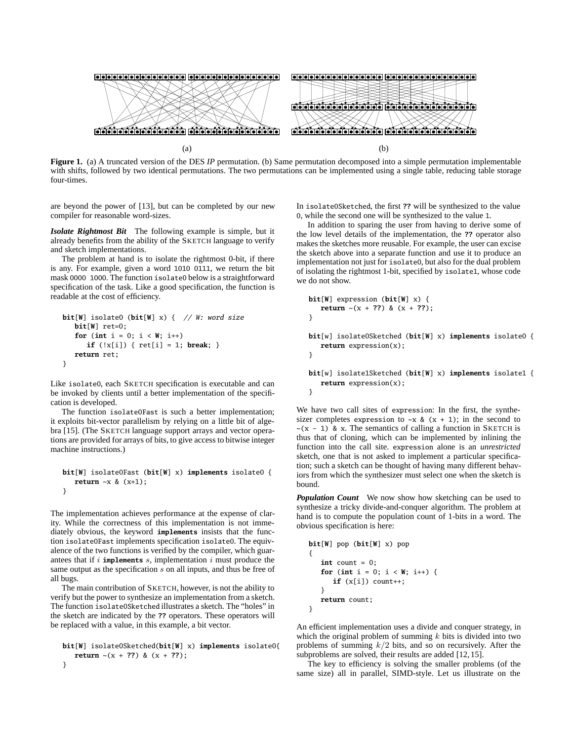

**Figure 1.** (a) A truncated version of the DES *IP* permutation. (b) Same permutation decomposed into a simple permutation implementable with shifts, followed by two identical permutations. The two permutations can be implemented using a single table, reducing table storage four-times.

}

are beyond the power of [13], but can be completed by our new compiler for reasonable word-sizes.

*Isolate Rightmost Bit* The following example is simple, but it already benefits from the ability of the SKETCH language to verify and sketch implementations.

The problem at hand is to isolate the rightmost 0-bit, if there is any. For example, given a word 1010 0111, we return the bit mask 0000 1000. The function isolate0 below is a straightforward specification of the task. Like a good specification, the function is readable at the cost of efficiency.

```
bit[W] isolate0 (bit[W] x) { // W: word size
   bit[W] ret=0;
   for (int i = 0; i < W; i++)if (!x[i]) { ret[i] = 1; break; }
   return ret;
}
```
Like isolate0, each SKETCH specification is executable and can be invoked by clients until a better implementation of the specification is developed.

The function isolate0Fast is such a better implementation; it exploits bit-vector parallelism by relying on a little bit of algebra [15]. (The SKETCH language support arrays and vector operations are provided for arrays of bits, to give access to bitwise integer machine instructions.)

#### **bit**[**W**] isolate0Fast (**bit**[**W**] x) **implements** isolate0 { **return** ~x & (x+1); }

The implementation achieves performance at the expense of clarity. While the correctness of this implementation is not immediately obvious, the keyword **implements** insists that the function isolate0Fast implements specification isolate0. The equivalence of the two functions is verified by the compiler, which guarantees that if  $i$  **implements**  $s$ , implementation  $i$  must produce the same output as the specification s on all inputs, and thus be free of all bugs.

The main contribution of SKETCH, however, is not the ability to verify but the power to synthesize an implementation from a sketch. The function isolate0Sketched illustrates a sketch. The "holes" in the sketch are indicated by the **??** operators. These operators will be replaced with a value, in this example, a bit vector.

```
bit[W] isolate0Sketched(bit[W] x) implements isolate0{
   return \sim(x + ??) & (x + ??);
}
```
In isolate0Sketched, the first **??** will be synthesized to the value 0, while the second one will be synthesized to the value 1.

In addition to sparing the user from having to derive some of the low level details of the implementation, the **??** operator also makes the sketches more reusable. For example, the user can excise the sketch above into a separate function and use it to produce an implementation not just for isolate0, but also for the dual problem of isolating the rightmost 1-bit, specified by isolate1, whose code we do not show.

```
bit[W] expression (bit[W] x) {
   return \sim(x + ??) & (x + ??);
}
bit[w] isolate0Sketched (bit[W] x) implements isolate0 {
   return expression(x);
}
bit[w] isolate1Sketched (bit[W] x) implements isolate1 {
   return expression(x);
```
We have two call sites of expression: In the first, the synthesizer completes expression to  $\sim x \& (x + 1)$ ; in the second to  $\sim$ (x - 1) & x. The semantics of calling a function in SKETCH is thus that of cloning, which can be implemented by inlining the function into the call site. expression alone is an *unrestricted* sketch, one that is not asked to implement a particular specification; such a sketch can be thought of having many different behaviors from which the synthesizer must select one when the sketch is bound.

*Population Count* We now show how sketching can be used to synthesize a tricky divide-and-conquer algorithm. The problem at hand is to compute the population count of 1-bits in a word. The obvious specification is here:

```
bit[W] pop (bit[W] x) pop
{
   \text{int count} = 0;
   for (int i = 0; i < W; i++) {
      if (x[i]) count++;
   }
   return count;
}
```
An efficient implementation uses a divide and conquer strategy, in which the original problem of summing  $k$  bits is divided into two problems of summing  $k/2$  bits, and so on recursively. After the subproblems are solved, their results are added [12, 15].

The key to efficiency is solving the smaller problems (of the same size) all in parallel, SIMD-style. Let us illustrate on the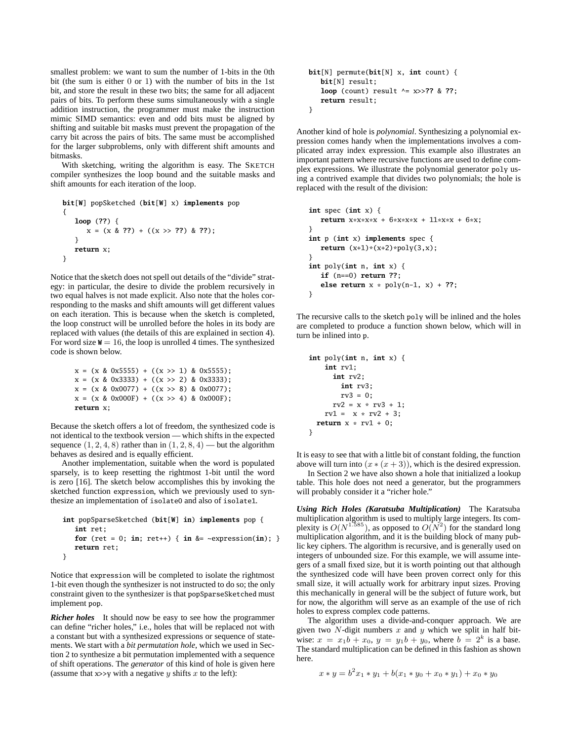smallest problem: we want to sum the number of 1-bits in the 0th bit (the sum is either 0 or 1) with the number of bits in the 1st bit, and store the result in these two bits; the same for all adjacent pairs of bits. To perform these sums simultaneously with a single addition instruction, the programmer must make the instruction mimic SIMD semantics: even and odd bits must be aligned by shifting and suitable bit masks must prevent the propagation of the carry bit across the pairs of bits. The same must be accomplished for the larger subproblems, only with different shift amounts and bitmasks.

With sketching, writing the algorithm is easy. The SKETCH compiler synthesizes the loop bound and the suitable masks and shift amounts for each iteration of the loop.

```
bit[W] popSketched (bit[W] x) implements pop
{
   loop (??) {
      x = (x & ??) + ((x >> ??) & ??);
   }
   return x;
}
```
Notice that the sketch does not spell out details of the "divide" strategy: in particular, the desire to divide the problem recursively in two equal halves is not made explicit. Also note that the holes corresponding to the masks and shift amounts will get different values on each iteration. This is because when the sketch is completed, the loop construct will be unrolled before the holes in its body are replaced with values (the details of this are explained in section 4). For word size  $W = 16$ , the loop is unrolled 4 times. The synthesized code is shown below.

```
x = (x \& 0x5555) + ((x \gg 1) \& 0x5555);x = (x \& 0x3333) + ((x \rightarrow 2) \& 0x3333);x = (x \& 0x0077) + ((x \rightarrow 8) \& 0x0077);x = (x \& 0x000F) + ((x \rightarrow 4) \& 0x000F);return x;
```
Because the sketch offers a lot of freedom, the synthesized code is not identical to the textbook version — which shifts in the expected sequence  $(1, 2, 4, 8)$  rather than in  $(1, 2, 8, 4)$  — but the algorithm behaves as desired and is equally efficient.

Another implementation, suitable when the word is populated sparsely, is to keep resetting the rightmost 1-bit until the word is zero [16]. The sketch below accomplishes this by invoking the sketched function expression, which we previously used to synthesize an implementation of isolate0 and also of isolate1.

```
int popSparseSketched (bit[W] in) implements pop {
   int ret;
   for (ret = 0; in; ret++) { in &= \simexpression(in); }
   return ret;
}
```
Notice that expression will be completed to isolate the rightmost 1-bit even though the synthesizer is not instructed to do so; the only constraint given to the synthesizer is that popSparseSketched must implement pop.

*Richer holes* It should now be easy to see how the programmer can define "richer holes," i.e., holes that will be replaced not with a constant but with a synthesized expressions or sequence of statements. We start with a *bit permutation hole*, which we used in Section 2 to synthesize a bit permutation implemented with a sequence of shift operations. The *generator* of this kind of hole is given here (assume that  $x \rightarrow y$  with a negative y shifts x to the left):

```
bit[N] permute(bit[N] x, int count) {
   bit[N] result;
   loop (count) result ^= x>>?? & ??;
   return result;
}
```
Another kind of hole is *polynomial*. Synthesizing a polynomial expression comes handy when the implementations involves a complicated array index expression. This example also illustrates an important pattern where recursive functions are used to define complex expressions. We illustrate the polynomial generator poly using a contrived example that divides two polynomials; the hole is replaced with the result of the division:

```
int spec (int x) {
   return x * x * x * x + 6 * x * x * x + 11 * x * x + 6 * x;}
int p (int x) implements spec {
   return (x+1)*(x+2)*poly(3,x);}
int poly(int n, int x) {
   if (n==0) return ??;
   else return x * poly(n-1, x) + ??;
}
```
The recursive calls to the sketch poly will be inlined and the holes are completed to produce a function shown below, which will in turn be inlined into p.

```
int poly(int n, int x) {
   int rv1;
     int rv2;
       int rv3;
       rv3 = 0;rv2 = x * rv3 + 1;rv1 = x * rv2 + 3;return x * rv1 + 0;
}
```
It is easy to see that with a little bit of constant folding, the function above will turn into  $(x*(x+3))$ , which is the desired expression.

In Section 2 we have also shown a hole that initialized a lookup table. This hole does not need a generator, but the programmers will probably consider it a "richer hole."

*Using Rich Holes (Karatsuba Multiplication)* The Karatsuba multiplication algorithm is used to multiply large integers. Its complexity is  $O(N^{1.585})$ , as opposed to  $O(N^2)$  for the standard long multiplication algorithm, and it is the building block of many public key ciphers. The algorithm is recursive, and is generally used on integers of unbounded size. For this example, we will assume integers of a small fixed size, but it is worth pointing out that although the synthesized code will have been proven correct only for this small size, it will actually work for arbitrary input sizes. Proving this mechanically in general will be the subject of future work, but for now, the algorithm will serve as an example of the use of rich holes to express complex code patterns.

The algorithm uses a divide-and-conquer approach. We are given two  $N$ -digit numbers  $x$  and  $y$  which we split in half bitwise:  $x = x_1b + x_0$ ,  $y = y_1b + y_0$ , where  $b = 2^k$  is a base. The standard multiplication can be defined in this fashion as shown here.

$$
x * y = b2 x1 * y1 + b(x1 * y0 + x0 * y1) + x0 * y0
$$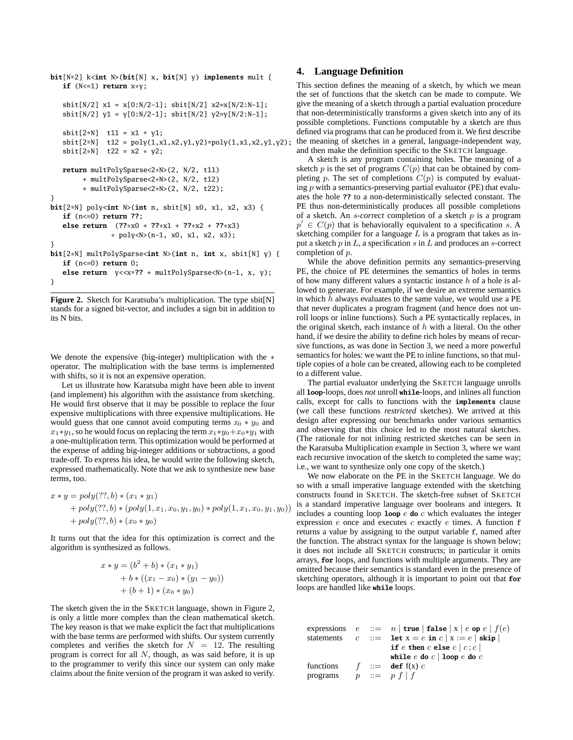```
bit[N*2] k<int N>(bit[N] x, bit[N] y) implements mult {
   if (N<=1) return x*y;
   sbit[N/2] x1 = x[0:N/2-1]; sbit[N/2] x2=x[N/2:N-1];
   sbit[N/2] y1 = y[0:N/2-1]; sbit[N/2] y2=y[N/2:N-1];
   {\text{shift}[2*N]} t11 = x1 * y1;
   {\text{shift}[2*N]} t12 = \text{poly}(1, x1, x2, y1, y2) * \text{poly}(1, x1, x2, y1, y2);sbit[2*N] t22 = x2 * y2;
   return multPolySparse<2*N>(2, N/2, t11)
        + multPolySparse<2*N>(2, N/2, t12)
        + multPolySparse<2*N>(2, N/2, t22);
}
bit[2*N] poly<int N>(int n, sbit[N] x0, x1, x2, x3) {
   if (n<=0) return ??;
   else return (??*x0 + ??*x1 + ??*x2 + ??*x3)
                * poly<N>(n-1, x0, x1, x2, x3);
}
bit[2*N] multPolySparse<int N>(int n, int x, sbit[N] y) {
   if (n<=0) return 0;
   else return y<<x*?? + multPolySparse<N>(n-1, x, y);
}
```
**Figure 2.** Sketch for Karatsuba's multiplication. The type sbit[N] stands for a signed bit-vector, and includes a sign bit in addition to its N bits.

We denote the expensive (big-integer) multiplication with the ∗ operator. The multiplication with the base terms is implemented with shifts, so it is not an expensive operation.

Let us illustrate how Karatsuba might have been able to invent (and implement) his algorithm with the assistance from sketching. He would first observe that it may be possible to replace the four expensive multiplications with three expensive multiplications. He would guess that one cannot avoid computing terms  $x_0 * y_0$  and  $x_1* y_1$ , so he would focus on replacing the term  $x_1* y_0+x_0* y_1$  with a one-multiplication term. This optimization would be performed at the expense of adding big-integer additions or subtractions, a good trade-off. To express his idea, he would write the following sketch, expressed mathematically. Note that we ask to synthesize new base terms, too.

$$
x * y = poly(??, b) * (x_1 * y_1)
$$
  
+ 
$$
poly(??, b) * (poly(1, x_1, x_0, y_1, y_0) * poly(1, x_1, x_0, y_1, y_0))
$$
  
+ 
$$
poly(??, b) * (x_0 * y_0)
$$

It turns out that the idea for this optimization is correct and the algorithm is synthesized as follows.

$$
x * y = (b2 + b) * (x1 * y1) + b * ((x1 - x0) * (y1 - y0)) + (b + 1) * (x0 * y0)
$$

The sketch given the in the SKETCH language, shown in Figure 2, is only a little more complex than the clean mathematical sketch. The key reason is that we make explicit the fact that multiplications with the base terms are performed with shifts. Our system currently completes and verifies the sketch for  $N = 12$ . The resulting program is correct for all  $N$ , though, as was said before, it is up to the programmer to verify this since our system can only make claims about the finite version of the program it was asked to verify.

# **4. Language Definition**

This section defines the meaning of a sketch, by which we mean the set of functions that the sketch can be made to compute. We give the meaning of a sketch through a partial evaluation procedure that non-deterministically transforms a given sketch into any of its possible completions. Functions computable by a sketch are thus defined via programs that can be produced from it. We first describe the meaning of sketches in a general, language-independent way, and then make the definition specific to the SKETCH language.

A sketch is any program containing holes. The meaning of a sketch  $p$  is the set of programs  $C(p)$  that can be obtained by completing p. The set of completions  $C(p)$  is computed by evaluating  $p$  with a semantics-preserving partial evaluator (PE) that evaluates the hole **??** to a non-deterministically selected constant. The PE thus non-deterministically produces all possible completions of a sketch. An s-*correct* completion of a sketch p is a program  $p' \in C(p)$  that is behaviorally equivalent to a specification s. A sketching compiler for a language  $L$  is a program that takes as input a sketch  $p$  in  $L$ , a specification  $s$  in  $L$  and produces an  $s$ -correct completion of p.

While the above definition permits any semantics-preserving PE, the choice of PE determines the semantics of holes in terms of how many different values a syntactic instance  $h$  of a hole is allowed to generate. For example, if we desire an extreme semantics in which  $h$  always evaluates to the same value, we would use a PE that never duplicates a program fragment (and hence does not unroll loops or inline functions). Such a PE syntactically replaces, in the original sketch, each instance of  $h$  with a literal. On the other hand, if we desire the ability to define rich holes by means of recursive functions, as was done in Section 3, we need a more powerful semantics for holes: we want the PE to inline functions, so that multiple copies of a hole can be created, allowing each to be completed to a different value.

The partial evaluator underlying the SKETCH language unrolls all **loop**-loops, does *not* unroll **while**-loops, and inlines all function calls, except for calls to functions with the **implements** clause (we call these functions *restricted* sketches). We arrived at this design after expressing our benchmarks under various semantics and observing that this choice led to the most natural sketches. (The rationale for not inlining restricted sketches can be seen in the Karatsuba Multiplication example in Section 3, where we want each recursive invocation of the sketch to completed the same way; i.e., we want to synthesize only one copy of the sketch.)

We now elaborate on the PE in the SKETCH language. We do so with a small imperative language extended with the sketching constructs found in SKETCH. The sketch-free subset of SKETCH is a standard imperative language over booleans and integers. It includes a counting loop  $\overrightarrow{loop}$   $\overrightarrow{e}$  **do**  $\overrightarrow{c}$  which evaluates the integer expression  $e$  once and executes  $c$  exactly  $e$  times. A function  $f$ returns a value by assigning to the output variable f, named after the function. The abstract syntax for the language is shown below; it does not include all SKETCH constructs; in particular it omits arrays, **for** loops, and functions with multiple arguments. They are omitted because their semantics is standard even in the presence of sketching operators, although it is important to point out that **for** loops are handled like **while** loops.

```
expressions e ::= n | \text{true} | \text{false} | x | e \text{ op } e | f(e)statements c ::= \textbf{let } x = e \textbf{ in } c | x := e | \textbf{skip} |if e then c else c \mid c; c \midwhile e do c | loop e do c
functions f ::= \text{def } f(x) cprograms p ::= p f | f
```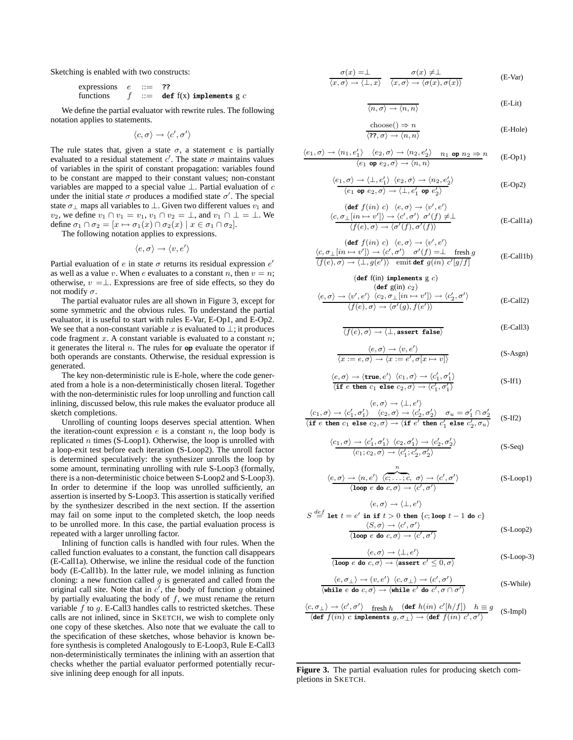Sketching is enabled with two constructs:

expressions 
$$
e ::= ?
$$
?  
functions  $f ::= \text{def } f(x) \text{ implements } g \text{ } c$ 

We define the partial evaluator with rewrite rules. The following notation applies to statements.

$$
\langle c, \sigma \rangle \rightarrow \langle c', \sigma' \rangle
$$

The rule states that, given a state  $\sigma$ , a statement c is partially evaluated to a residual statement  $c'$ . The state  $\sigma$  maintains values of variables in the spirit of constant propagation: variables found to be constant are mapped to their constant values; non-constant variables are mapped to a special value  $\perp$ . Partial evaluation of c under the initial state  $\sigma$  produces a modified state  $\sigma'$ . The special state  $\sigma_{\perp}$  maps all variables to  $\perp$ . Given two different values  $v_1$  and v<sub>2</sub>, we define  $v_1 \cap v_1 = v_1$ ,  $v_1 \cap v_2 = \perp$ , and  $v_1 \cap \perp = \perp$ . We define  $\sigma_1 \cap \sigma_2 = [x \mapsto \sigma_1(x) \cap \sigma_2(x) \mid x \in \sigma_1 \cap \sigma_2].$ 

The following notation applies to expressions.

$$
\langle e, \sigma \rangle \to \langle v, e' \rangle
$$

Partial evaluation of e in state  $\sigma$  returns its residual expression  $e'$ as well as a value v. When e evaluates to a constant n, then  $v = n$ ; otherwise,  $v = \perp$ . Expressions are free of side effects, so they do not modify  $\sigma$ .

The partial evaluator rules are all shown in Figure 3, except for some symmetric and the obvious rules. To understand the partial evaluator, it is useful to start with rules E-Var, E-Op1, and E-Op2. We see that a non-constant variable x is evaluated to  $\bot$ ; it produces code fragment  $x$ . A constant variable is evaluated to a constant  $n$ ; it generates the literal n. The rules for **op** evaluate the operator if both operands are constants. Otherwise, the residual expression is generated.

The key non-deterministic rule is E-hole, where the code generated from a hole is a non-deterministically chosen literal. Together with the non-deterministic rules for loop unrolling and function call inlining, discussed below, this rule makes the evaluator produce all sketch completions.

Unrolling of counting loops deserves special attention. When the iteration-count expression  $e$  is a constant  $n$ , the loop body is replicated  $n$  times (S-Loop1). Otherwise, the loop is unrolled with a loop-exit test before each iteration (S-Loop2). The unroll factor is determined speculatively: the synthesizer unrolls the loop by some amount, terminating unrolling with rule S-Loop3 (formally, there is a non-deterministic choice between S-Loop2 and S-Loop3). In order to determine if the loop was unrolled sufficiently, an assertion is inserted by S-Loop3. This assertion is statically verified by the synthesizer described in the next section. If the assertion may fail on some input to the completed sketch, the loop needs to be unrolled more. In this case, the partial evaluation process is repeated with a larger unrolling factor.

Inlining of function calls is handled with four rules. When the called function evaluates to a constant, the function call disappears (E-Call1a). Otherwise, we inline the residual code of the function body (E-Call1b). In the latter rule, we model inlining as function cloning: a new function called  $g$  is generated and called from the original call site. Note that in  $c'$ , the body of function g obtained by partially evaluating the body of  $f$ , we must rename the return variable  $f$  to  $g$ . E-Call3 handles calls to restricted sketches. These calls are not inlined, since in SKETCH, we wish to complete only one copy of these sketches. Also note that we evaluate the call to the specification of these sketches, whose behavior is known before synthesis is completed Analogously to E-Loop3, Rule E-Call3 non-deterministically terminates the inlining with an assertion that checks whether the partial evaluator performed potentially recursive inlining deep enough for all inputs.

$$
\frac{\sigma(x) = \perp}{\langle x, \sigma \rangle \to \langle \perp, x \rangle} \quad \frac{\sigma(x) \neq \perp}{\langle x, \sigma \rangle \to \langle \sigma(x), \sigma(x) \rangle}
$$
 (E-Var)

$$
\langle n, \sigma \rangle \to \langle n, n \rangle \tag{E-Lit}
$$

$$
\frac{\text{choose()}\Rightarrow n}{\langle \mathbf{?7}, \sigma \rangle \to \langle n, n \rangle}
$$
 (E-Hole)

$$
\frac{\langle e_1, \sigma \rangle \to \langle n_1, e_1' \rangle \quad \langle e_2, \sigma \rangle \to \langle n_2, e_2' \rangle \quad n_1 \text{ op } n_2 \Rightarrow n}{\langle e_1 \text{ op } e_2, \sigma \rangle \to \langle n, n \rangle} \quad \text{(E-Op1)}
$$

$$
\frac{\langle e_1, \sigma \rangle \to \langle \bot, e_1' \rangle \langle e_2, \sigma \rangle \to \langle n_2, e_2' \rangle}{\langle e_1 \text{ op } e_2, \sigma \rangle \to \langle \bot, e_1' \text{ op } e_2' \rangle}
$$
 (E-Op2)

$$
\begin{array}{ll}\n\text{(def } f(in) \ c) & \langle e, \sigma \rangle \to \langle v', e' \rangle \\
\langle c, \sigma_{\perp}[in \to v'] \rangle \to \langle c', \sigma' \rangle \ \sigma'(f) \neq \perp \\
& \langle f(e), \sigma \rangle \to \langle \sigma'(f), \sigma'(f) \rangle\n\end{array}\n\tag{E-Call1a}
$$

$$
\begin{array}{ll}\n\text{(def } f(in) \ c) & \langle e, \sigma \rangle \to \langle v', e' \rangle \\
\langle c, \sigma_{\perp}[in \to v'] \rangle & \to \langle c', \sigma' \rangle \quad \sigma'(f) = \perp \quad \text{ fresh } g \\
\langle f(e), \sigma \rangle & \to \langle \perp, g(e') \rangle \quad \text{emit def } g(in) \ c'[g/f]\n\end{array} \tag{E-Call1b}
$$

$$
\langle e, \sigma \rangle \rightarrow \langle v', e' \rangle \langle c_2, \sigma_{\perp}[in \rightarrow v'] \rangle \rightarrow \langle c'_2, \sigma' \rangle
$$
\n
$$
\langle f(e), \sigma \rangle \rightarrow \langle \sigma'(g), f(e') \rangle \qquad (E\text{-Call2})
$$

 $(d_{\text{eff}}\text{f(in)}\text{iml}}\text{amult} \in \mathcal{C}$ 

$$
\langle f(e), \sigma \rangle \to \langle \bot, \text{assert false} \rangle \tag{E-Call3}
$$

$$
\langle e, \sigma \rangle \to \langle v, e' \rangle
$$
  

$$
\langle x := e, \sigma \rangle \to \langle x := e', \sigma[x \mapsto v] \rangle
$$
 (S-Asgn)

$$
\langle e, \sigma \rangle \to \langle \text{true}, e' \rangle \langle c_1, \sigma \rangle \to \langle c'_1, \sigma'_1 \rangle
$$
  
\langle **if** *e* **then**  $c_1$  **else**  $c_2, \sigma \rangle \to \langle c'_1, \sigma'_1 \rangle$  (S-If1)

$$
\langle e, \sigma \rangle \rightarrow \langle \bot, e' \rangle
$$
  

$$
\langle c_1, \sigma \rangle \rightarrow \langle c'_1, \sigma'_1 \rangle \quad \langle c_2, \sigma \rangle \rightarrow \langle c'_2, \sigma'_2 \rangle \quad \sigma_u = \sigma'_1 \cap \sigma'_2
$$
  

$$
\langle \text{if } e \text{ then } c_1 \text{ else } c_2, \sigma \rangle \rightarrow \langle \text{if } e' \text{ then } c'_1 \text{ else } c'_2, \sigma_u \rangle \tag{S-If2}
$$

$$
\frac{\langle c_1, \sigma \rangle \to \langle c_1', \sigma_1' \rangle \langle c_2, \sigma_1' \rangle \to \langle c_2', \sigma_2' \rangle}{\langle c_1, c_2, \sigma \rangle \to \langle c_1', c_2', \sigma_2' \rangle}
$$
 (S-Seq)

$$
\langle e, \sigma \rangle \to \langle n, e' \rangle \langle \overbrace{\langle c, \dots, c, \sigma \rangle \to \langle c', \sigma' \rangle}^{n} \quad (S\text{-Loop1})
$$
\n
$$
\langle \text{loop } e \text{ do } c, \sigma \rangle \to \langle c', \sigma' \rangle
$$

$$
\langle e, \sigma \rangle \to \langle \bot, e' \rangle
$$
  
\n
$$
S \stackrel{def}{=} \text{let } t = e' \text{ in if } t > 0 \text{ then } \{c; \text{loop } t - 1 \text{ do } c\}
$$
  
\n
$$
\frac{\langle S, \sigma \rangle \to \langle c', \sigma' \rangle}{\langle \text{loop } e \text{ do } c, \sigma \rangle \to \langle c', \sigma' \rangle}
$$
 (S-Loop2)

$$
\frac{\langle e, \sigma \rangle \to \langle \bot, e' \rangle}{\langle \textbf{loop } e \textbf{ do } c, \sigma \rangle \to \langle \textbf{assert } e' \le 0, \sigma \rangle}
$$
 (S-Loop-3)

$$
\frac{\langle e, \sigma_{\perp} \rangle \to (v, e') \langle c, \sigma_{\perp} \rangle \to (c', \sigma')}{\langle \text{while } e \text{ do } c, \sigma \rangle \to \langle \text{while } e' \text{ do } c', \sigma \cap \sigma' \rangle}
$$
 (S-While)

$$
\frac{\langle c, \sigma_{\perp} \rangle \to \langle c', \sigma' \rangle \text{ fresh } h \quad (\text{def } h(in) \ c'[h/f]) \quad h \equiv g}{\langle \text{def } f(in) \ c \text{ implements } g, \sigma_{\perp} \rangle \to \langle \text{def } f(in) \ c', \sigma' \rangle} \quad \text{(S-Impl)}
$$

**Figure 3.** The partial evaluation rules for producing sketch completions in SKETCH.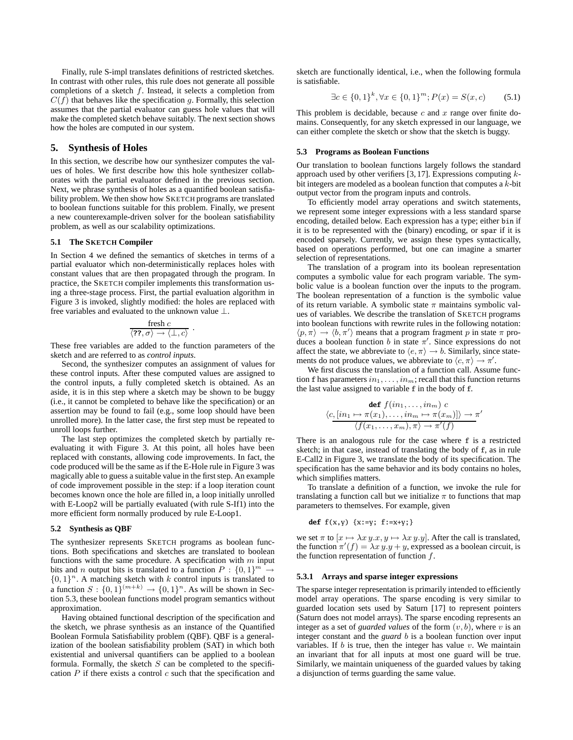Finally, rule S-impl translates definitions of restricted sketches. In contrast with other rules, this rule does not generate all possible completions of a sketch  $f$ . Instead, it selects a completion from  $C(f)$  that behaves like the specification g. Formally, this selection assumes that the partial evaluator can guess hole values that will make the completed sketch behave suitably. The next section shows how the holes are computed in our system.

## **5. Synthesis of Holes**

In this section, we describe how our synthesizer computes the values of holes. We first describe how this hole synthesizer collaborates with the partial evaluator defined in the previous section. Next, we phrase synthesis of holes as a quantified boolean satisfiability problem. We then show how SKETCH programs are translated to boolean functions suitable for this problem. Finally, we present a new counterexample-driven solver for the boolean satisfiability problem, as well as our scalability optimizations.

#### **5.1 The SKETCH Compiler**

In Section 4 we defined the semantics of sketches in terms of a partial evaluator which non-deterministically replaces holes with constant values that are then propagated through the program. In practice, the SKETCH compiler implements this transformation using a three-stage process. First, the partial evaluation algorithm in Figure 3 is invoked, slightly modified: the holes are replaced with free variables and evaluated to the unknown value ⊥.

$$
\frac{\text{ fresh } c}{\langle \text{??}, \sigma \rangle \rightarrow \langle \bot, c \rangle} \ .
$$

These free variables are added to the function parameters of the sketch and are referred to as *control inputs*.

Second, the synthesizer computes an assignment of values for these control inputs. After these computed values are assigned to the control inputs, a fully completed sketch is obtained. As an aside, it is in this step where a sketch may be shown to be buggy (i.e., it cannot be completed to behave like the specification) or an assertion may be found to fail (e.g., some loop should have been unrolled more). In the latter case, the first step must be repeated to unroll loops further.

The last step optimizes the completed sketch by partially reevaluating it with Figure 3. At this point, all holes have been replaced with constants, allowing code improvements. In fact, the code produced will be the same as if the E-Hole rule in Figure 3 was magically able to guess a suitable value in the first step. An example of code improvement possible in the step: if a loop iteration count becomes known once the hole are filled in, a loop initially unrolled with E-Loop2 will be partially evaluated (with rule S-If1) into the more efficient form normally produced by rule E-Loop1.

#### **5.2 Synthesis as QBF**

The synthesizer represents SKETCH programs as boolean functions. Both specifications and sketches are translated to boolean functions with the same procedure. A specification with  $m$  input bits and *n* output bits is translated to a function  $P : \{0, 1\}^m \rightarrow$  $\{0, 1\}^n$ . A matching sketch with k control inputs is translated to a function  $S: \{0, 1\}^{(m+k)} \to \{0, 1\}^n$ . As will be shown in Section 5.3, these boolean functions model program semantics without approximation.

Having obtained functional description of the specification and the sketch, we phrase synthesis as an instance of the Quantified Boolean Formula Satisfiability problem (QBF). QBF is a generalization of the boolean satisfiability problem (SAT) in which both existential and universal quantifiers can be applied to a boolean formula. Formally, the sketch  $S$  can be completed to the specification  $P$  if there exists a control  $c$  such that the specification and

sketch are functionally identical, i.e., when the following formula is satisfiable.

$$
\exists c \in \{0, 1\}^k, \forall x \in \{0, 1\}^m; P(x) = S(x, c) \tag{5.1}
$$

This problem is decidable, because  $c$  and  $x$  range over finite domains. Consequently, for any sketch expressed in our language, we can either complete the sketch or show that the sketch is buggy.

#### **5.3 Programs as Boolean Functions**

Our translation to boolean functions largely follows the standard approach used by other verifiers  $[3, 17]$ . Expressions computing  $k$ bit integers are modeled as a boolean function that computes a  $k$ -bit output vector from the program inputs and controls.

To efficiently model array operations and switch statements, we represent some integer expressions with a less standard sparse encoding, detailed below. Each expression has a type; either bin if it is to be represented with the (binary) encoding, or spar if it is encoded sparsely. Currently, we assign these types syntactically, based on operations performed, but one can imagine a smarter selection of representations.

The translation of a program into its boolean representation computes a symbolic value for each program variable. The symbolic value is a boolean function over the inputs to the program. The boolean representation of a function is the symbolic value of its return variable. A symbolic state  $\pi$  maintains symbolic values of variables. We describe the translation of SKETCH programs into boolean functions with rewrite rules in the following notation:  $\langle p, \pi \rangle \rightarrow \langle b, \pi' \rangle$  means that a program fragment p in state  $\pi$  produces a boolean function b in state  $\pi'$ . Since expressions do not affect the state, we abbreviate to  $\langle e, \pi \rangle \rightarrow b$ . Similarly, since statements do not produce values, we abbreviate to  $\langle c, \pi \rangle \rightarrow \pi'.$ 

We first discuss the translation of a function call. Assume function f has parameters  $in_1, \ldots, in_m$ ; recall that this function returns the last value assigned to variable f in the body of f.

$$
\begin{array}{c}\n\text{def } f(in_1, \ldots, in_m) \ c \\
\langle c, [in_1 \mapsto \pi(x_1), \ldots, in_m \mapsto \pi(x_m)] \rangle \to \pi' \\
\langle f(x_1, \ldots, x_m), \pi \rangle \to \pi'(f)\n\end{array}
$$

There is an analogous rule for the case where f is a restricted sketch; in that case, instead of translating the body of f, as in rule E-Call2 in Figure 3, we translate the body of its specification. The specification has the same behavior and its body contains no holes, which simplifies matters.

To translate a definition of a function, we invoke the rule for translating a function call but we initialize  $\pi$  to functions that map parameters to themselves. For example, given

def 
$$
f(x,y)
$$
 {x:=y; f:=x+y; }

we set  $\pi$  to  $[x \mapsto \lambda x y \cdot x, y \mapsto \lambda x y \cdot y]$ . After the call is translated, the function  $\pi'(f) = \lambda x y \cdot y + y$ , expressed as a boolean circuit, is the function representation of function  $f$ .

#### **5.3.1 Arrays and sparse integer expressions**

The sparse integer representation is primarily intended to efficiently model array operations. The sparse encoding is very similar to guarded location sets used by Saturn [17] to represent pointers (Saturn does not model arrays). The sparse encoding represents an integer as a set of *guarded values* of the form  $(v, b)$ , where v is an integer constant and the *guard* b is a boolean function over input variables. If  $b$  is true, then the integer has value  $v$ . We maintain an invariant that for all inputs at most one guard will be true. Similarly, we maintain uniqueness of the guarded values by taking a disjunction of terms guarding the same value.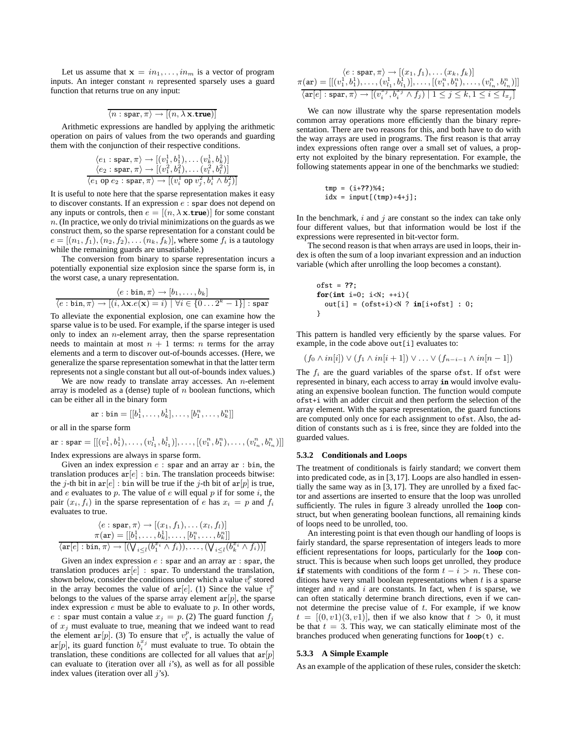Let us assume that  $\mathbf{x} = in_1, \ldots, in_m$  is a vector of program inputs. An integer constant  $n$  represented sparsely uses a guard function that returns true on any input:

$$
\langle n : \text{spar}, \pi \rangle \rightarrow [(n, \lambda \mathbf{x}.\text{true})]
$$

Arithmetic expressions are handled by applying the arithmetic operation on pairs of values from the two operands and guarding them with the conjunction of their respective conditions.

$$
\langle e_1 : \text{spar}, \pi \rangle \rightarrow [(v_1^1, b_1^1), \dots (v_k^1, b_k^1)]
$$
  

$$
\langle e_2 : \text{spar}, \pi \rangle \rightarrow [(v_1^2, b_1^2), \dots (v_l^2, b_l^2)]
$$
  

$$
\langle e_1 \text{ op } e_2 : \text{spar}, \pi \rangle \rightarrow [(v_i^1 \text{ op } v_j^2, b_i^1 \wedge b_j^2)]
$$

It is useful to note here that the sparse representation makes it easy to discover constants. If an expression  $e$  : spar does not depend on any inputs or controls, then  $e = [(n, \lambda \mathbf{x}.\mathbf{true})]$  for some constant  $n$ . (In practice, we only do trivial minimizations on the guards as we construct them, so the sparse representation for a constant could be  $e = [(n_1, f_1), (n_2, f_2), \ldots, (n_k, f_k)]$ , where some  $f_i$  is a tautology while the remaining guards are unsatisfiable.)

The conversion from binary to sparse representation incurs a potentially exponential size explosion since the sparse form is, in the worst case, a unary representation.

$$
\frac{\langle e:\text{bin}, \pi\rangle \to [b_1,\ldots,b_k]}{\langle e:\text{bin}, \pi\rangle \to [(i,\lambda x.e(\mathbf{x})=i)] \,\,\forall i\in\{0\ldots 2^k-1\}]:\,\text{spar}}
$$

To alleviate the exponential explosion, one can examine how the sparse value is to be used. For example, if the sparse integer is used only to index an  $n$ -element array, then the sparse representation needs to maintain at most  $n + 1$  terms: *n* terms for the array elements and a term to discover out-of-bounds accesses. (Here, we generalize the sparse representation somewhat in that the latter term represents not a single constant but all out-of-bounds index values.)

We are now ready to translate array accesses. An  $n$ -element array is modeled as a (dense) tuple of  $n$  boolean functions, which can be either all in the binary form

$$
\texttt{ar}:\texttt{bin}=[[b_1^1,\ldots,b_k^1],\ldots,[b_1^n,\ldots,b_k^n]]
$$

or all in the sparse form

 $\texttt{ar} : \texttt{spar} = [[(v_1^1, b_1^1), \ldots, (v_{l_1}^1, b_{l_1}^1)], \ldots, [(v_1^n, b_1^n), \ldots, (v_{l_n}^n, b_{l_n}^n)]]$ 

Index expressions are always in sparse form.

Given an index expression  $e$ : spar and an array ar : bin, the translation produces  $ar[e]$ : bin. The translation proceeds bitwise: the j-th bit in ar[e] : bin will be true if the j-th bit of ar[p] is true, and  $e$  evaluates to  $p$ . The value of  $e$  will equal  $p$  if for some  $i$ , the pair  $(x_i, f_i)$  in the sparse representation of e has  $x_i = p$  and  $f_i$ evaluates to true.

$$
\langle e : \text{span}, \pi \rangle \rightarrow [(x_1, f_1), \dots (x_l, f_l)]
$$

$$
\pi(\text{ar}) = [[b_1^1, \dots, b_k^1], \dots, [b_1^n, \dots, b_k^n]]
$$

$$
\langle \text{ar}[e] : \text{bin}, \pi \rangle \rightarrow [(\bigvee_{i \leq l} (b_1^{x_i} \wedge f_i)), \dots, (\bigvee_{i \leq l} (b_k^{x_i} \wedge f_i))]
$$

Given an index expression  $e$ : spar and an array ar : spar, the translation produces  $ar[e]$ : spar. To understand the translation, shown below, consider the conditions under which a value  $v_i^p$  stored in the array becomes the value of  $ar[e]$ . (1) Since the value  $v_i^p$ belongs to the values of the sparse array element  $ar[p]$ , the sparse index expression  $e$  must be able to evaluate to  $p$ . In other words, e : spar must contain a value  $x_j = p$ . (2) The guard function  $f_j$ of x*<sup>j</sup>* must evaluate to true, meaning that we indeed want to read the element  $ar[p]$ . (3) To ensure that  $v_i^p$ , is actually the value of are extreme  $\sum_{i}^{n} f_i$ ,  $\sum_{i}^{n} f_i$  must evaluate to true. To obtain the  $\sum_{i}^{n} f_i$  must evaluate to true. To obtain the translation, these conditions are collected for all values that  $ar[p]$ can evaluate to (iteration over all  $i$ 's), as well as for all possible index values (iteration over all  $j$ 's).

$$
\langle e : \text{spar}, \pi \rangle \to [(x_1, f_1), \dots, (x_k, f_k)]
$$

$$
\pi(\text{ar}) = [[(v_1^1, b_1^1), \dots, (v_{l_1}^1, b_{l_1}^1)], \dots, [(v_1^n, b_1^n), \dots, (v_{l_n}^n, b_{l_n}^n)]]
$$

$$
\langle \text{ar}[e] : \text{spar}, \pi \rangle \to [(v_i^{xy}, b_i^{xy} \land f_j) \mid 1 \le j \le k, 1 \le i \le l_{xy}]
$$

We can now illustrate why the sparse representation models common array operations more efficiently than the binary representation. There are two reasons for this, and both have to do with the way arrays are used in programs. The first reason is that array index expressions often range over a small set of values, a property not exploited by the binary representation. For example, the following statements appear in one of the benchmarks we studied:

$$
tmp = (i+??)%4;
$$
  

$$
idx = input[(tmp)*4+j];
$$

In the benchmark,  $i$  and  $j$  are constant so the index can take only four different values, but that information would be lost if the expressions were represented in bit-vector form.

The second reason is that when arrays are used in loops, their index is often the sum of a loop invariant expression and an induction variable (which after unrolling the loop becomes a constant).

ofst = **??**; **for**(**int** i=0; i<N; ++i){ out[i] = (ofst+i)<N ? **in**[i+ofst] : 0; }

This pattern is handled very efficiently by the sparse values. For example, in the code above out[i] evaluates to:

$$
(f_0 \wedge in[i]) \vee (f_1 \wedge in[i+1]) \vee \ldots \vee (f_{n-i-1} \wedge in[n-1])
$$

The  $f_i$  are the guard variables of the sparse of st. If of st were represented in binary, each access to array **in** would involve evaluating an expensive boolean function. The function would compute ofst+i with an adder circuit and then perform the selection of the array element. With the sparse representation, the guard functions are computed only once for each assignment to ofst. Also, the addition of constants such as i is free, since they are folded into the guarded values.

#### **5.3.2 Conditionals and Loops**

The treatment of conditionals is fairly standard; we convert them into predicated code, as in [3,17]. Loops are also handled in essentially the same way as in [3, 17]. They are unrolled by a fixed factor and assertions are inserted to ensure that the loop was unrolled sufficiently. The rules in figure 3 already unrolled the **loop** construct, but when generating boolean functions, all remaining kinds of loops need to be unrolled, too.

An interesting point is that even though our handling of loops is fairly standard, the sparse representation of integers leads to more efficient representations for loops, particularly for the **loop** construct. This is because when such loops get unrolled, they produce **if** statements with conditions of the form  $t - i > n$ . These conditions have very small boolean representations when  $t$  is a sparse integer and  $n$  and  $i$  are constants. In fact, when  $t$  is sparse, we can often statically determine branch directions, even if we cannot determine the precise value of  $t$ . For example, if we know  $t = [(0, v1)(3, v1)]$ , then if we also know that  $t > 0$ , it must be that  $t = 3$ . This way, we can statically eliminate most of the branches produced when generating functions for **loop**(t) c.

#### **5.3.3 A Simple Example**

As an example of the application of these rules, consider the sketch: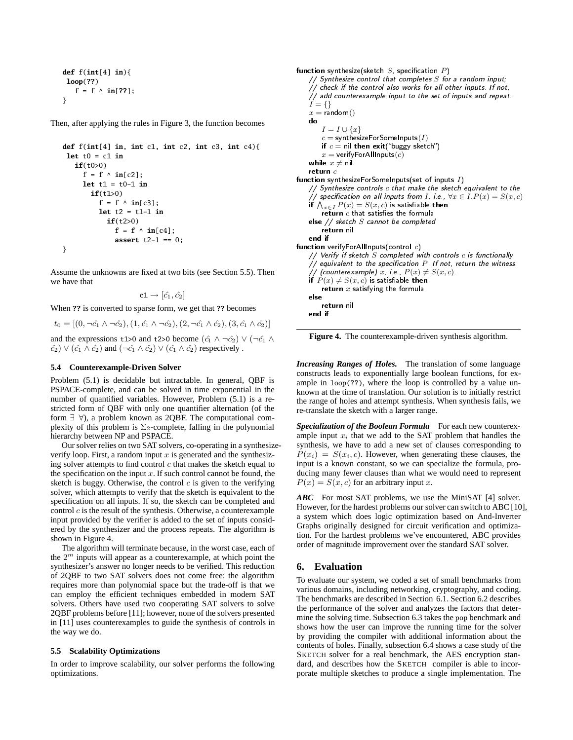```
def f(int[4] in){
 loop(??)
   f = f \land in[??];
}
```
Then, after applying the rules in Figure 3, the function becomes

```
def f(int[4] in, int c1, int c2, int c3, int c4){
 let t0 = c1 in
   if(t0>0)
     f = f \wedge in[c2];let t1 = t0-1 in
       if(t1>0)
          f = f \wedge \mathbf{in}[c3];let t2 = t1-1 in
            if(t2>0)
              f = f \wedge in[c4];assert t2-1 == 0;
}
```
Assume the unknowns are fixed at two bits (see Section 5.5). Then we have that

 $c1 \rightarrow [\hat{c_1}, \hat{c_2}]$ 

When **??** is converted to sparse form, we get that **??** becomes

$$
t_0 = [(0, \neg \hat{c_1} \land \neg \hat{c_2}), (1, \hat{c_1} \land \neg \hat{c_2}), (2, \neg \hat{c_1} \land \hat{c_2}), (3, \hat{c_1} \land \hat{c_2})]
$$

and the expressions t1>0 and t2>0 become  $(\hat{c}_1 \wedge \neg \hat{c}_2) \vee (\neg \hat{c}_1 \wedge \neg \hat{c}_2)$  $(\hat{c}_2) \vee (\hat{c}_1 \wedge \hat{c}_2)$  and  $(\neg \hat{c}_1 \wedge \hat{c}_2) \vee (\hat{c}_1 \wedge \hat{c}_2)$  respectively .

## **5.4 Counterexample-Driven Solver**

Problem (5.1) is decidable but intractable. In general, QBF is PSPACE-complete, and can be solved in time exponential in the number of quantified variables. However, Problem (5.1) is a restricted form of QBF with only one quantifier alternation (of the form  $\exists \forall$ ), a problem known as 2QBF. The computational complexity of this problem is  $\Sigma_2$ -complete, falling in the polynomial hierarchy between NP and PSPACE.

Our solver relies on two SAT solvers, co-operating in a synthesizeverify loop. First, a random input  $x$  is generated and the synthesizing solver attempts to find control  $c$  that makes the sketch equal to the specification on the input  $x$ . If such control cannot be found, the sketch is buggy. Otherwise, the control  $c$  is given to the verifying solver, which attempts to verify that the sketch is equivalent to the specification on all inputs. If so, the sketch can be completed and control  $c$  is the result of the synthesis. Otherwise, a counterexample input provided by the verifier is added to the set of inputs considered by the synthesizer and the process repeats. The algorithm is shown in Figure 4.

The algorithm will terminate because, in the worst case, each of the 2*<sup>m</sup>* inputs will appear as a counterexample, at which point the synthesizer's answer no longer needs to be verified. This reduction of 2QBF to two SAT solvers does not come free: the algorithm requires more than polynomial space but the trade-off is that we can employ the efficient techniques embedded in modern SAT solvers. Others have used two cooperating SAT solvers to solve 2QBF problems before [11]; however, none of the solvers presented in [11] uses counterexamples to guide the synthesis of controls in the way we do.

## **5.5 Scalability Optimizations**

In order to improve scalability, our solver performs the following optimizations.

```
\frac{1}{2} Synthesize control that completes S for a range
-
-
 -

-
    // check if the control also works for all other inputs. If not,
    I = \{\}<br>x = \text{random}()x = random()<br>do
    I = I \cup \{x\}<br>c = synthesi
        c = \mathsf{synthesis} inthesizeForSomeInputs(I) if c = \mathsf{nil} then exit("buggy sketc
        if c = nil then exit("buggy sketch")<br>x = \text{verifyForAllInputs}(c)x = verifyForAllInputs(c)while x \neq \mathsf{nil}return c{\sf function} synthesizeForSomeInputs(set of inputs I I 
 -

    f \bigvee_{x \in I} P(x) = S(x, c) is satisfiable then<br>
x∈I.P(x) = S(x, c) is satisfiable then<br>
x∈I P(x) = S(x, c) is satisfiable then
       return c that satisfies the formula
    \text{else} // sketch S cannot be completed<br>return nil
    ----
-
-
 -

-
     c
 -

-
    \frac{1}{2} veing a sketch S completed with controls e is functional.
    P(f \text{ count in the three numbers})<br>
P(x) = S(x, P(x) + S(x, c)).<br>
if P(x) + S(x, c) is satisfiable then
    if P(x) \neq S(x, c) is satisfiable then<br>return x satisfying the formula
        x such y mg the formula
   else
    -1 -1

-
 -

   end if
```
**Figure 4.** The counterexample-driven synthesis algorithm.

*Increasing Ranges of Holes.* The translation of some language constructs leads to exponentially large boolean functions, for example in loop(??), where the loop is controlled by a value unknown at the time of translation. Our solution is to initially restrict the range of holes and attempt synthesis. When synthesis fails, we re-translate the sketch with a larger range.

*Specialization of the Boolean Formula* For each new counterexample input  $x_i$  that we add to the SAT problem that handles the synthesis, we have to add a new set of clauses corresponding to  $P(x_i) = S(x_i, c)$ . However, when generating these clauses, the input is a known constant, so we can specialize the formula, producing many fewer clauses than what we would need to represent  $P(x) = S(x, c)$  for an arbitrary input x.

*ABC* For most SAT problems, we use the MiniSAT [4] solver. However, for the hardest problems our solver can switch to ABC [10], a system which does logic optimization based on And-Inverter Graphs originally designed for circuit verification and optimization. For the hardest problems we've encountered, ABC provides order of magnitude improvement over the standard SAT solver.

## **6. Evaluation**

 -

To evaluate our system, we coded a set of small benchmarks from various domains, including networking, cryptography, and coding. The benchmarks are described in Section 6.1. Section 6.2 describes the performance of the solver and analyzes the factors that determine the solving time. Subsection 6.3 takes the pop benchmark and shows how the user can improve the running time for the solver by providing the compiler with additional information about the contents of holes. Finally, subsection 6.4 shows a case study of the SKETCH solver for a real benchmark, the AES encryption standard, and describes how the SKETCH compiler is able to incorporate multiple sketches to produce a single implementation. The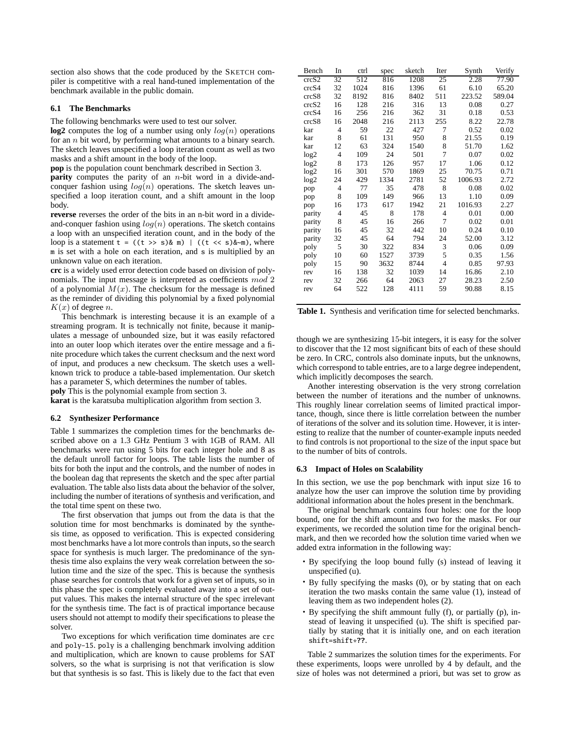section also shows that the code produced by the SKETCH compiler is competitive with a real hand-tuned implementation of the benchmark available in the public domain.

## **6.1 The Benchmarks**

The following benchmarks were used to test our solver.

**log2** computes the log of a number using only  $log(n)$  operations for an n bit word, by performing what amounts to a binary search. The sketch leaves unspecified a loop iteration count as well as two masks and a shift amount in the body of the loop.

**pop** is the population count benchmark described in Section 3.

**parity** computes the parity of an *n*-bit word in a divide-andconquer fashion using  $log(n)$  operations. The sketch leaves unspecified a loop iteration count, and a shift amount in the loop body.

**reverse** reverses the order of the bits in an n-bit word in a divideand-conquer fashion using  $log(n)$  operations. The sketch contains a loop with an unspecified iteration count, and in the body of the loop is a statement  $t = ((t \gg s) \& m)$  |  $((t \ll s) \& \sim m)$ , where m is set with a hole on each iteration, and s is multiplied by an unknown value on each iteration.

**crc** is a widely used error detection code based on division of polynomials. The input message is interpreted as coefficients mod 2 of a polynomial  $M(x)$ . The checksum for the message is defined as the reminder of dividing this polynomial by a fixed polynomial  $K(x)$  of degree n.

This benchmark is interesting because it is an example of a streaming program. It is technically not finite, because it manipulates a message of unbounded size, but it was easily refactored into an outer loop which iterates over the entire message and a finite procedure which takes the current checksum and the next word of input, and produces a new checksum. The sketch uses a wellknown trick to produce a table-based implementation. Our sketch has a parameter S, which determines the number of tables.

**poly** This is the polynomial example from section 3.

**karat** is the karatsuba multiplication algorithm from section 3.

#### **6.2 Synthesizer Performance**

Table 1 summarizes the completion times for the benchmarks described above on a 1.3 GHz Pentium 3 with 1GB of RAM. All benchmarks were run using 5 bits for each integer hole and 8 as the default unroll factor for loops. The table lists the number of bits for both the input and the controls, and the number of nodes in the boolean dag that represents the sketch and the spec after partial evaluation. The table also lists data about the behavior of the solver, including the number of iterations of synthesis and verification, and the total time spent on these two.

The first observation that jumps out from the data is that the solution time for most benchmarks is dominated by the synthesis time, as opposed to verification. This is expected considering most benchmarks have a lot more controls than inputs, so the search space for synthesis is much larger. The predominance of the synthesis time also explains the very weak correlation between the solution time and the size of the spec. This is because the synthesis phase searches for controls that work for a given set of inputs, so in this phase the spec is completely evaluated away into a set of output values. This makes the internal structure of the spec irrelevant for the synthesis time. The fact is of practical importance because users should not attempt to modify their specifications to please the solver.

Two exceptions for which verification time dominates are crc and poly-15. poly is a challenging benchmark involving addition and multiplication, which are known to cause problems for SAT solvers, so the what is surprising is not that verification is slow but that synthesis is so fast. This is likely due to the fact that even

| Bench  | In             | ctrl | spec | sketch | Iter           | Synth   | Verify |
|--------|----------------|------|------|--------|----------------|---------|--------|
| crcS2  | 32             | 512  | 816  | 1208   | 25             | 2.28    | 77.90  |
| crcS4  | 32             | 1024 | 816  | 1396   | 61             | 6.10    | 65.20  |
| crcS8  | 32             | 8192 | 816  | 8402   | 511            | 223.52  | 589.04 |
| crcS2  | 16             | 128  | 216  | 316    | 13             | 0.08    | 0.27   |
| crcS4  | 16             | 256  | 216  | 362    | 31             | 0.18    | 0.53   |
| crcS8  | 16             | 2048 | 216  | 2113   | 255            | 8.22    | 22.78  |
| kar    | 4              | 59   | 22   | 427    | 7              | 0.52    | 0.02   |
| kar    | 8              | 61   | 131  | 950    | 8              | 21.55   | 0.19   |
| kar    | 12             | 63   | 324  | 1540   | 8              | 51.70   | 1.62   |
| log2   | $\overline{4}$ | 109  | 24   | 501    | 7              | 0.07    | 0.02   |
| log2   | 8              | 173  | 126  | 957    | 17             | 1.06    | 0.12   |
| log2   | 16             | 301  | 570  | 1869   | 25             | 70.75   | 0.71   |
| log2   | 24             | 429  | 1334 | 2781   | 52             | 1006.93 | 2.72   |
| pop    | $\overline{4}$ | 77   | 35   | 478    | 8              | 0.08    | 0.02   |
| pop    | 8              | 109  | 149  | 966    | 13             | 1.10    | 0.09   |
| pop    | 16             | 173  | 617  | 1942   | 21             | 1016.93 | 2.27   |
| parity | $\overline{4}$ | 45   | 8    | 178    | 4              | 0.01    | 0.00   |
| parity | 8              | 45   | 16   | 266    | 7              | 0.02    | 0.01   |
| parity | 16             | 45   | 32   | 442    | 10             | 0.24    | 0.10   |
| parity | 32             | 45   | 64   | 794    | 24             | 52.00   | 3.12   |
| poly   | 5              | 30   | 322  | 834    | 3              | 0.06    | 0.09   |
| poly   | 10             | 60   | 1527 | 3739   | 5              | 0.35    | 1.56   |
| poly   | 15             | 90   | 3632 | 8744   | $\overline{4}$ | 0.85    | 97.93  |
| rev    | 16             | 138  | 32   | 1039   | 14             | 16.86   | 2.10   |
| rev    | 32             | 266  | 64   | 2063   | 27             | 28.23   | 2.50   |
| rev    | 64             | 522  | 128  | 4111   | 59             | 90.88   | 8.15   |
|        |                |      |      |        |                |         |        |

**Table 1.** Synthesis and verification time for selected benchmarks.

though we are synthesizing 15-bit integers, it is easy for the solver to discover that the 12 most significant bits of each of these should be zero. In CRC, controls also dominate inputs, but the unknowns, which correspond to table entries, are to a large degree independent, which implicitly decomposes the search.

Another interesting observation is the very strong correlation between the number of iterations and the number of unknowns. This roughly linear correlation seems of limited practical importance, though, since there is little correlation between the number of iterations of the solver and its solution time. However, it is interesting to realize that the number of counter-example inputs needed to find controls is not proportional to the size of the input space but to the number of bits of controls.

#### **6.3 Impact of Holes on Scalability**

In this section, we use the pop benchmark with input size 16 to analyze how the user can improve the solution time by providing additional information about the holes present in the benchmark.

The original benchmark contains four holes: one for the loop bound, one for the shift amount and two for the masks. For our experiments, we recorded the solution time for the original benchmark, and then we recorded how the solution time varied when we added extra information in the following way:

- By specifying the loop bound fully (s) instead of leaving it unspecified (u).
- By fully specifying the masks (0), or by stating that on each iteration the two masks contain the same value (1), instead of leaving them as two independent holes (2).
- By specifying the shift ammount fully (f), or partially (p), instead of leaving it unspecified (u). The shift is specified partially by stating that it is initially one, and on each iteration shift=shift\***??**.

Table 2 summarizes the solution times for the experiments. For these experiments, loops were unrolled by 4 by default, and the size of holes was not determined a priori, but was set to grow as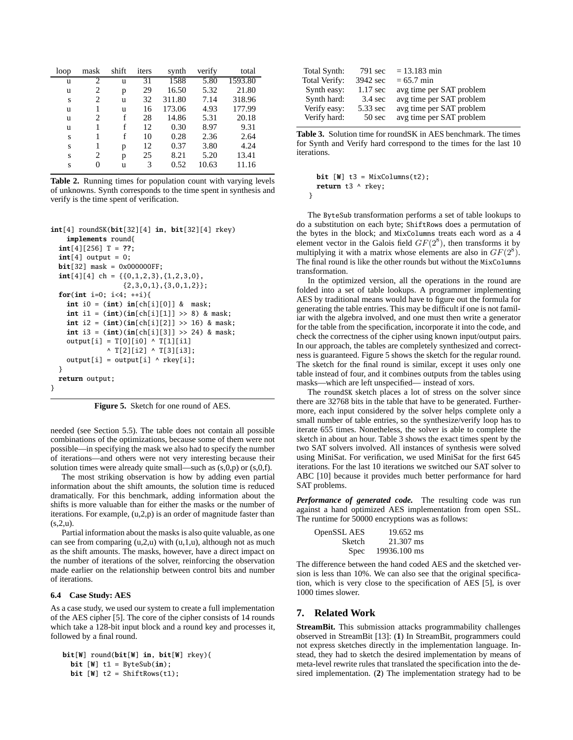| loop | mask | shift | iters | synth  | verify | total   |
|------|------|-------|-------|--------|--------|---------|
| u    | 2    | u     | 31    | 1588   | 5.80   | 1593.80 |
| u    | 2    | р     | 29    | 16.50  | 5.32   | 21.80   |
| S    | 2    | u     | 32    | 311.80 | 7.14   | 318.96  |
| u    | 1    | u     | 16    | 173.06 | 4.93   | 177.99  |
| u    | 2    | f     | 28    | 14.86  | 5.31   | 20.18   |
| u    |      | f     | 12    | 0.30   | 8.97   | 9.31    |
| S    |      | f     | 10    | 0.28   | 2.36   | 2.64    |
| S    | 1    | р     | 12    | 0.37   | 3.80   | 4.24    |
| S    | 2    | p     | 25    | 8.21   | 5.20   | 13.41   |
| S    | 0    | u     | 3     | 0.52   | 10.63  | 11.16   |

**Table 2.** Running times for population count with varying levels of unknowns. Synth corresponds to the time spent in synthesis and verify is the time spent of verification.

```
int[4] roundSK(bit[32][4] in, bit[32][4] rkey)
    implements round{
  int[4][256] T = ??;
  int[4] output = 0;
 bit[32] mask = 0x000000FF;
  int[4][4] ch = {{0,1,2,3}, {1,2,3,0},
                  {2,3,0,1},{3,0,1,2}};
 for(int i=0; i<4; ++i){
   int i0 = (int) in[ch[i][0]] & mask;
    int i1 = (int)(in[ch[i][1]] >> 8) & mask;
    int i2 = (int)(in[ch[i][2]] >> 16) & mask;
    int i3 = (int)(in[ch[i][3]] >> 24) & mask;
    output[i] = T[0][i0] \wedge T[1][i1]^ T[2][i2] ^ T[3][i3];
    output[i] = output[i] \land rkey[i];}
 return output;
}
```
**Figure 5.** Sketch for one round of AES.

needed (see Section 5.5). The table does not contain all possible combinations of the optimizations, because some of them were not possible—in specifying the mask we also had to specify the number of iterations—and others were not very interesting because their solution times were already quite small—such as  $(s,0,p)$  or  $(s,0,f)$ .

The most striking observation is how by adding even partial information about the shift amounts, the solution time is reduced dramatically. For this benchmark, adding information about the shifts is more valuable than for either the masks or the number of iterations. For example, (u,2,p) is an order of magnitude faster than  $(s, 2, u)$ .

Partial information about the masks is also quite valuable, as one can see from comparing  $(u,2,u)$  with  $(u,1,u)$ , although not as much as the shift amounts. The masks, however, have a direct impact on the number of iterations of the solver, reinforcing the observation made earlier on the relationship between control bits and number of iterations.

## **6.4 Case Study: AES**

As a case study, we used our system to create a full implementation of the AES cipher [5]. The core of the cipher consists of 14 rounds which take a 128-bit input block and a round key and processes it, followed by a final round.

```
bit[W] round(bit[W] in, bit[W] rkey){
  bit [W] t1 = ByteSub(in);
  bit [W] t2 = ShiftRows(t1);
```

| Total Synth:  | 791 sec            | $= 13.183$ min           |
|---------------|--------------------|--------------------------|
| Total Verify: | 3942 sec           | $= 65.7$ min             |
| Synth easy:   | $1.17 \text{ sec}$ | avg time per SAT problem |
| Synth hard:   | $3.4 \text{ sec}$  | avg time per SAT problem |
| Verify easy:  | 5.33 sec           | avg time per SAT problem |
| Verify hard:  | 50 sec             | avg time per SAT problem |

**Table 3.** Solution time for roundSK in AES benchmark. The times for Synth and Verify hard correspond to the times for the last 10 iterations.

```
bit [W] t3 = MixColumns(t2);
return t3 ^ rkey;
```
}

The ByteSub transformation performs a set of table lookups to do a substitution on each byte; ShiftRows does a permutation of the bytes in the block; and MixColumns treats each word as a 4 element vector in the Galois field  $GF(2^8)$ , then transforms it by multiplying it with a matrix whose elements are also in  $GF(2^8)$ . The final round is like the other rounds but without the MixColumns transformation.

In the optimized version, all the operations in the round are folded into a set of table lookups. A programmer implementing AES by traditional means would have to figure out the formula for generating the table entries. This may be difficult if one is not familiar with the algebra involved, and one must then write a generator for the table from the specification, incorporate it into the code, and check the correctness of the cipher using known input/output pairs. In our approach, the tables are completely synthesized and correctness is guaranteed. Figure 5 shows the sketch for the regular round. The sketch for the final round is similar, except it uses only one table instead of four, and it combines outputs from the tables using masks—which are left unspecified— instead of xors.

The roundSK sketch places a lot of stress on the solver since there are 32768 bits in the table that have to be generated. Furthermore, each input considered by the solver helps complete only a small number of table entries, so the synthesize/verify loop has to iterate 655 times. Nonetheless, the solver is able to complete the sketch in about an hour. Table 3 shows the exact times spent by the two SAT solvers involved. All instances of synthesis were solved using MiniSat. For verification, we used MiniSat for the first 645 iterations. For the last 10 iterations we switched our SAT solver to ABC [10] because it provides much better performance for hard SAT problems.

*Performance of generated code.* The resulting code was run against a hand optimized AES implementation from open SSL. The runtime for 50000 encryptions was as follows:

| OpenSSL AES | 19.652 ms    |
|-------------|--------------|
| Sketch      | 21.307 ms    |
| <b>Spec</b> | 19936.100 ms |

The difference between the hand coded AES and the sketched version is less than 10%. We can also see that the original specification, which is very close to the specification of AES [5], is over 1000 times slower.

## **7. Related Work**

**StreamBit.** This submission attacks programmability challenges observed in StreamBit [13]: (**1**) In StreamBit, programmers could not express sketches directly in the implementation language. Instead, they had to sketch the desired implementation by means of meta-level rewrite rules that translated the specification into the desired implementation. (**2**) The implementation strategy had to be